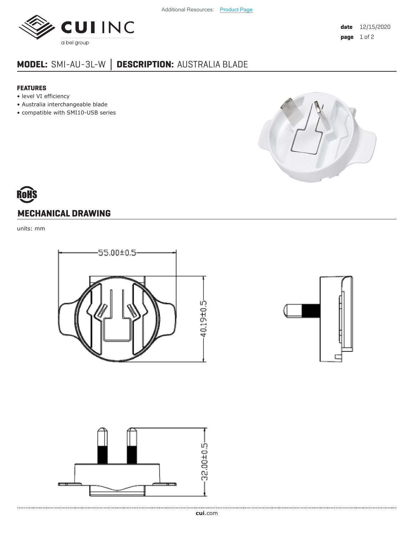

## **MODEL:** SMI-AU-3L-W **│ DESCRIPTION:** AUSTRALIA BLADE

## **FEATURES**

- level VI efficiency
- Australia interchangeable blade
- compatible with SMI10-USB series



## **MECHANICAL DRAWING**

units: mm